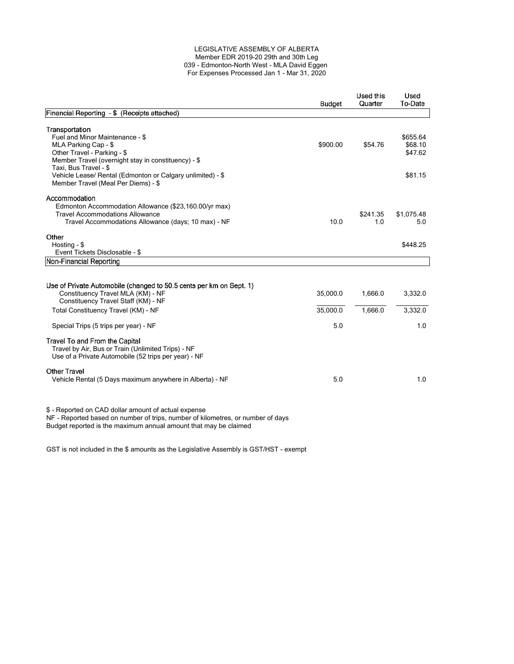#### LEGISLATIVE ASSEMBLY OF ALBERTA Member EDR 2019-20 29th and 30th Leg 039 - Edmonton-North West - MLA David Eggen For Expenses Processed Jan 1 - Mar 31, 2020

|                                                                                                                                                                                                                                 | <b>Budget</b>               | Used this<br>Quarter | Used<br>To-Date                |
|---------------------------------------------------------------------------------------------------------------------------------------------------------------------------------------------------------------------------------|-----------------------------|----------------------|--------------------------------|
| Financial Reporting - \$ (Receipts attached)                                                                                                                                                                                    |                             |                      |                                |
| Transportation<br>Fuel and Minor Maintenance - \$<br>MLA Parking Cap - \$<br>Other Travel - Parking - \$<br>Member Travel (overnight stay in constituency) - \$<br>Taxi, Bus Travel - \$                                        | \$900.00                    | \$54.76              | \$655.64<br>\$68.10<br>\$47.62 |
| Vehicle Lease/ Rental (Edmonton or Calgary unlimited) - \$<br>Member Travel (Meal Per Diems) - \$                                                                                                                               |                             |                      | \$81.15                        |
| Accommodation<br>Edmonton Accommodation Allowance (\$23,160.00/yr max)<br><b>Travel Accommodations Allowance</b><br>Travel Accommodations Allowance (days; 10 max) - NF                                                         | 10.0                        | \$241.35<br>1.0      | \$1,075.48<br>5.0              |
| Other<br>Hosting - \$<br>Event Tickets Disclosable - \$                                                                                                                                                                         |                             |                      | \$448.25                       |
| Non-Financial Reporting                                                                                                                                                                                                         |                             |                      |                                |
| Use of Private Automobile (changed to 50.5 cents per km on Sept. 1)<br>Constituency Travel MLA (KM) - NF<br>Constituency Travel Staff (KM) - NF<br>Total Constituency Travel (KM) - NF<br>Special Trips (5 trips per year) - NF | 35,000.0<br>35,000.0<br>5.0 | 1,666.0<br>1,666.0   | 3,332.0<br>3,332.0<br>1.0      |
| Travel To and From the Capital<br>Travel by Air, Bus or Train (Unlimited Trips) - NF<br>Use of a Private Automobile (52 trips per year) - NF                                                                                    |                             |                      |                                |
| <b>Other Travel</b><br>Vehicle Rental (5 Days maximum anywhere in Alberta) - NF                                                                                                                                                 | 5.0                         |                      | 1.0                            |
| \$ - Reported on CAD dollar amount of actual expense<br>NF - Reported based on number of trips, number of kilometres, or number of days<br>Budget reported is the maximum annual amount that may be claimed                     |                             |                      |                                |

GST is not included in the \$ amounts as the Legislative Assembly is GST/HST - exempt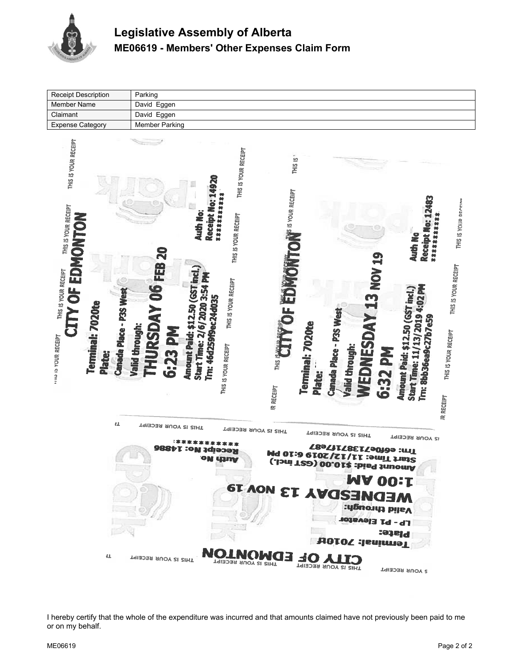

| <b>Receipt Description</b>                                                                                                                                                                              | Parking                                                                                                                                                                                                                                                                                                                                                                                                                                                                                                                                                                                                                                                                                                                                                                                  |
|---------------------------------------------------------------------------------------------------------------------------------------------------------------------------------------------------------|------------------------------------------------------------------------------------------------------------------------------------------------------------------------------------------------------------------------------------------------------------------------------------------------------------------------------------------------------------------------------------------------------------------------------------------------------------------------------------------------------------------------------------------------------------------------------------------------------------------------------------------------------------------------------------------------------------------------------------------------------------------------------------------|
| <b>Member Name</b>                                                                                                                                                                                      | David Eggen                                                                                                                                                                                                                                                                                                                                                                                                                                                                                                                                                                                                                                                                                                                                                                              |
| Claimant                                                                                                                                                                                                | David Eggen                                                                                                                                                                                                                                                                                                                                                                                                                                                                                                                                                                                                                                                                                                                                                                              |
| <b>Expense Category</b>                                                                                                                                                                                 | <b>Member Parking</b>                                                                                                                                                                                                                                                                                                                                                                                                                                                                                                                                                                                                                                                                                                                                                                    |
| THIS IS YOUR RECEIPT<br>THIS IS YOUR RECEIPT<br>EDMONTON<br>THIS IS YOUR RECEIPT<br>CITY OF<br>Canada Place - P3S West<br>Terminal: 7020te<br>National MODA SECEIPT<br>Plate:<br>$\mathbf{1}\mathbf{1}$ | THIS IS YOUR RECEIPT<br>THIS IS <sup>*</sup><br>Receipt No: 14920<br>W <sup>IS</sup> IS YOUR RECEIPT<br><b>大好好好好好好好好好</b><br>Receipt No: 12483<br>THIS IS YOUR DECEINS<br>Auth No:<br>THIS IS YOUR RECEIPT<br>供好好好好好好好<br>Auth No<br><b>06 FEB 20</b><br><b>WEDNESDAY 13 NOV 19</b><br>THIS IS YOUR RECEIPT<br>Amount Paid: \$12.50 (GST incl.)<br>Start Time: 2/6/2020 3:54 PM<br>THIS IS YOUR RECEIPT<br>a<br>In<br>Start Time: 11/13/2019 4:02 PM<br>Amount Paid: \$12.50 (GST incl.)<br>Tm: 46d259f9ec24d035<br>Canada Place - P3S West<br><b>THURSDAY</b><br>Tm: 8bb36ea9c27b7e59<br>Terminal: 7020te<br>Valid through:<br>6:23 PM<br>THIS IS YOUR RECEIPT<br>THIS IS VOLU<br>THIS IS YOUR RECEIPT<br>Valid through:<br>6:32 PM<br>Plate:<br><b>IR RECEIPT</b><br><b>JR RECEIPT</b> |
|                                                                                                                                                                                                         | THIS IS YOUR RECEIPT<br>THIS IS YOUR RECEIPT<br>THIS IS YOUR RECEIPT<br><b>IS YOUR RECEIPT</b><br>Tn: e6f0e7138717e87<br><b>Mo: 14886</b><br>Rece<br>Start Time: 11/12/2019 6:10 PM<br>Start Time: 11/12/2019 (GST incl.)<br>oı<br>unw<br><b>MA 00:1</b><br><b>MEDNESDAY 13 NOV 19</b><br><b>Nalid through:</b><br><b>Tb - bT Eleastor</b>                                                                                                                                                                                                                                                                                                                                                                                                                                               |
| 仩                                                                                                                                                                                                       | Plate:<br><b>HOTOZ : Jenimel</b><br><b>SO AITS</b><br>THIS IS YOUR RECEIPT                                                                                                                                                                                                                                                                                                                                                                                                                                                                                                                                                                                                                                                                                                               |
|                                                                                                                                                                                                         | THIS IS YOUR RECEIPT<br>THIS IS YOUR RECEIPT<br><b>S YOUR RECEIPT</b>                                                                                                                                                                                                                                                                                                                                                                                                                                                                                                                                                                                                                                                                                                                    |

I hereby certify that the whole of the expenditure was incurred and that amounts claimed have not previously been paid to me or on my behalf.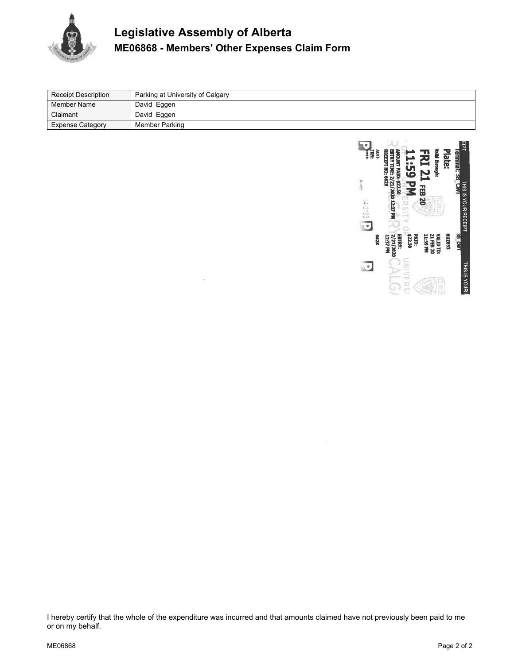

# **Legislative Assembly of Alberta ME06868 - Members' Other Expenses Claim Form**

| <b>Receipt Description</b> | Parking at University of Calgary |
|----------------------------|----------------------------------|
| ∣ Member Name              | David Eggen                      |
| Claimant                   | David Eggen                      |
| <b>Expense Category</b>    | Member Parking                   |



I hereby certify that the whole of the expenditure was incurred and that amounts claimed have not previously been paid to me or on my behalf.